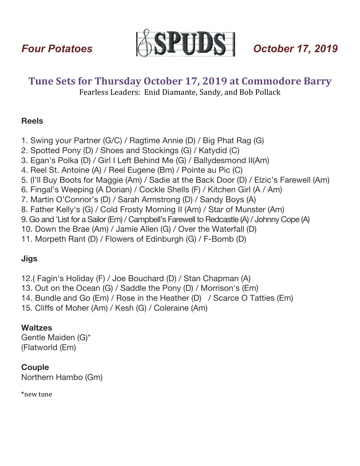

# **Tune Sets for Thursday October 17, 2019 at Commodore Barry**

Fearless Leaders: Enid Diamante, Sandy, and Bob Pollack

## **Reels**

- 1. Swing your Partner (G/C) / Ragtime Annie (D) / Big Phat Rag (G)
- 2. Spotted Pony (D) / Shoes and Stockings (G) / Katydid (C)
- 3. Egan's Polka (D) / Girl I Left Behind Me (G) / Ballydesmond II(Am)
- 4. Reel St. Antoine (A) / Reel Eugene (Bm) / Pointe au Pic (C)
- 5. (I'll Buy Boots for Maggie (Am) / Sadie at the Back Door (D) / Elzic's Farewell (Am)
- 6. Fingal's Weeping (A Dorian) / Cockle Shells (F) / Kitchen Girl (A / Am)
- 7. Martin O'Connor's (D) / Sarah Armstrong (D) / Sandy Boys (A)
- 8. Father Kelly's (G) / Cold Frosty Morning II (Am) / Star of Munster (Am)
- 9. Go and 'List for a Sailor (Em) / Campbell's Farewell to Redcastle (A) / Johnny Cope (A)
- 10. Down the Brae (Am) / Jamie Allen (G) / Over the Waterfall (D)
- 11. Morpeth Rant (D) / Flowers of Edinburgh (G) / F-Bomb (D)

## **Jigs**

12.( Fagin's Holiday (F) / Joe Bouchard (D) / Stan Chapman (A)

- 13. Out on the Ocean (G) / Saddle the Pony (D) / Morrison's (Em)
- 14. Bundle and Go (Em) / Rose in the Heather (D) / Scarce O Tatties (Em)
- 15. Cliffs of Moher (Am) / Kesh (G) / Coleraine (Am)

## **Waltzes**

Gentle Maiden (G)\* (Flatworld (Em)

## **Couple**

Northern Hambo (Gm)

\*new tune